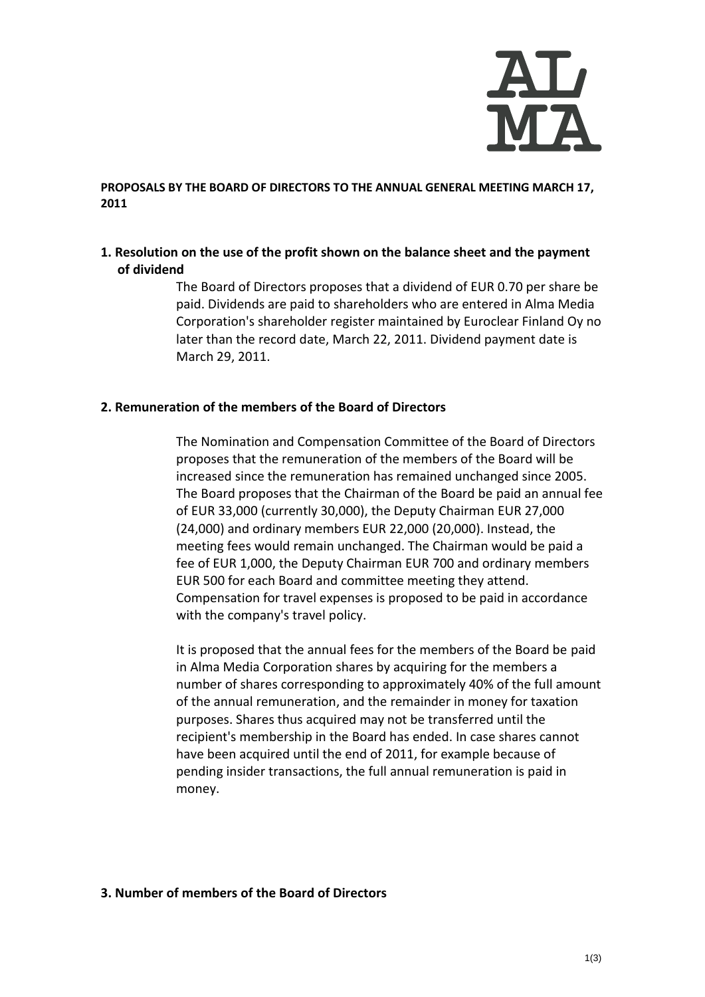

**PROPOSALS BY THE BOARD OF DIRECTORS TO THE ANNUAL GENERAL MEETING MARCH 17, 2011**

## **1. Resolution on the use of the profit shown on the balance sheet and the payment of dividend**

The Board of Directors proposes that a dividend of EUR 0.70 per share be paid. Dividends are paid to shareholders who are entered in Alma Media Corporation's shareholder register maintained by Euroclear Finland Oy no later than the record date, March 22, 2011. Dividend payment date is March 29, 2011.

#### **2. Remuneration of the members of the Board of Directors**

The Nomination and Compensation Committee of the Board of Directors proposes that the remuneration of the members of the Board will be increased since the remuneration has remained unchanged since 2005. The Board proposes that the Chairman of the Board be paid an annual fee of EUR 33,000 (currently 30,000), the Deputy Chairman EUR 27,000 (24,000) and ordinary members EUR 22,000 (20,000). Instead, the meeting fees would remain unchanged. The Chairman would be paid a fee of EUR 1,000, the Deputy Chairman EUR 700 and ordinary members EUR 500 for each Board and committee meeting they attend. Compensation for travel expenses is proposed to be paid in accordance with the company's travel policy.

It is proposed that the annual fees for the members of the Board be paid in Alma Media Corporation shares by acquiring for the members a number of shares corresponding to approximately 40% of the full amount of the annual remuneration, and the remainder in money for taxation purposes. Shares thus acquired may not be transferred until the recipient's membership in the Board has ended. In case shares cannot have been acquired until the end of 2011, for example because of pending insider transactions, the full annual remuneration is paid in money.

#### **3. Number of members of the Board of Directors**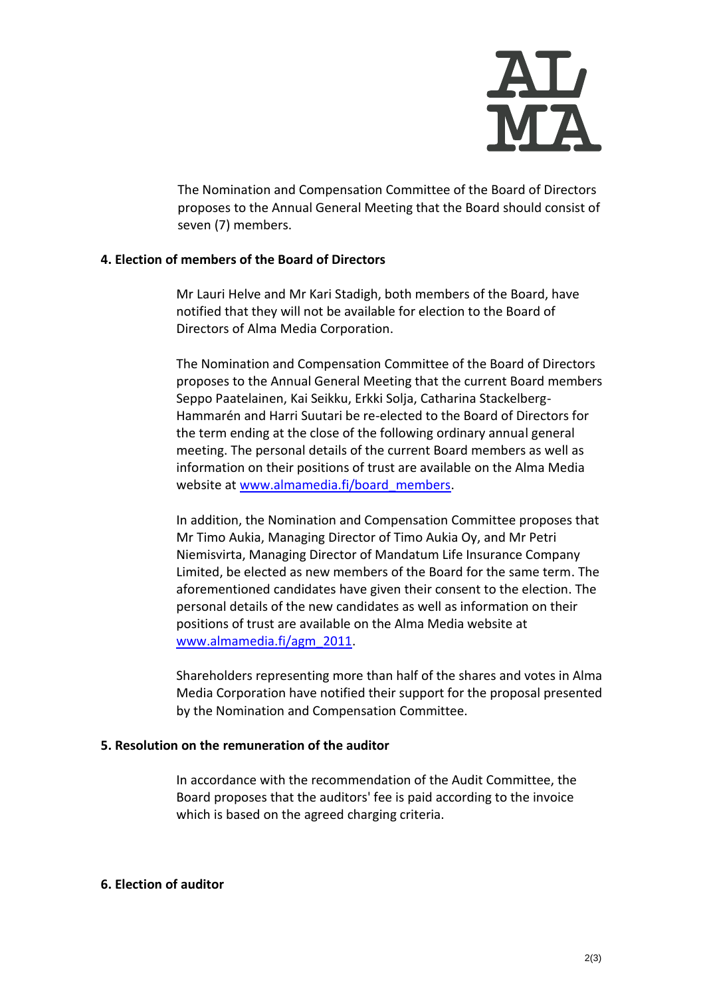

The Nomination and Compensation Committee of the Board of Directors proposes to the Annual General Meeting that the Board should consist of seven (7) members.

### **4. Election of members of the Board of Directors**

Mr Lauri Helve and Mr Kari Stadigh, both members of the Board, have notified that they will not be available for election to the Board of Directors of Alma Media Corporation.

The Nomination and Compensation Committee of the Board of Directors proposes to the Annual General Meeting that the current Board members Seppo Paatelainen, Kai Seikku, Erkki Solja, Catharina Stackelberg-Hammarén and Harri Suutari be re-elected to the Board of Directors for the term ending at the close of the following ordinary annual general meeting. The personal details of the current Board members as well as information on their positions of trust are available on the Alma Media website at [www.almamedia.fi/board\\_members.](http://www.almamedia.fi/board_members)

In addition, the Nomination and Compensation Committee proposes that Mr Timo Aukia, Managing Director of Timo Aukia Oy, and Mr Petri Niemisvirta, Managing Director of Mandatum Life Insurance Company Limited, be elected as new members of the Board for the same term. The aforementioned candidates have given their consent to the election. The personal details of the new candidates as well as information on their positions of trust are available on the Alma Media website at [www.almamedia.fi/agm\\_2011.](http://www.almamedia.fi/agm_2011)

Shareholders representing more than half of the shares and votes in Alma Media Corporation have notified their support for the proposal presented by the Nomination and Compensation Committee.

### **5. Resolution on the remuneration of the auditor**

In accordance with the recommendation of the Audit Committee, the Board proposes that the auditors' fee is paid according to the invoice which is based on the agreed charging criteria.

# **6. Election of auditor**